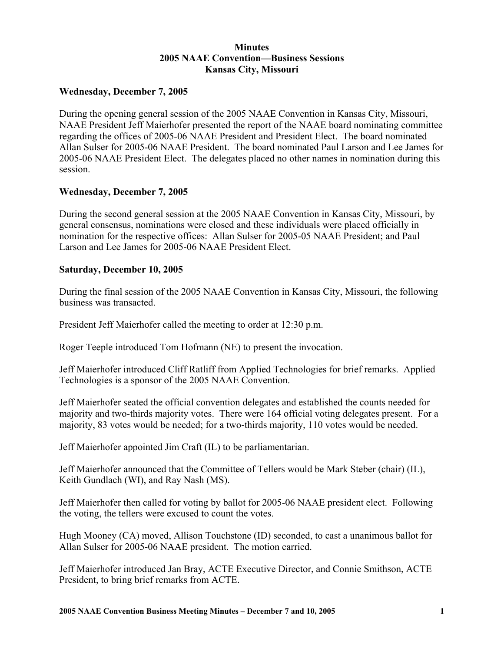# **Minutes 2005 NAAE Convention—Business Sessions Kansas City, Missouri**

### **Wednesday, December 7, 2005**

During the opening general session of the 2005 NAAE Convention in Kansas City, Missouri, NAAE President Jeff Maierhofer presented the report of the NAAE board nominating committee regarding the offices of 2005-06 NAAE President and President Elect. The board nominated Allan Sulser for 2005-06 NAAE President. The board nominated Paul Larson and Lee James for 2005-06 NAAE President Elect. The delegates placed no other names in nomination during this session.

# **Wednesday, December 7, 2005**

During the second general session at the 2005 NAAE Convention in Kansas City, Missouri, by general consensus, nominations were closed and these individuals were placed officially in nomination for the respective offices: Allan Sulser for 2005-05 NAAE President; and Paul Larson and Lee James for 2005-06 NAAE President Elect.

# **Saturday, December 10, 2005**

During the final session of the 2005 NAAE Convention in Kansas City, Missouri, the following business was transacted.

President Jeff Maierhofer called the meeting to order at 12:30 p.m.

Roger Teeple introduced Tom Hofmann (NE) to present the invocation.

Jeff Maierhofer introduced Cliff Ratliff from Applied Technologies for brief remarks. Applied Technologies is a sponsor of the 2005 NAAE Convention.

Jeff Maierhofer seated the official convention delegates and established the counts needed for majority and two-thirds majority votes. There were 164 official voting delegates present. For a majority, 83 votes would be needed; for a two-thirds majority, 110 votes would be needed.

Jeff Maierhofer appointed Jim Craft (IL) to be parliamentarian.

Jeff Maierhofer announced that the Committee of Tellers would be Mark Steber (chair) (IL), Keith Gundlach (WI), and Ray Nash (MS).

Jeff Maierhofer then called for voting by ballot for 2005-06 NAAE president elect. Following the voting, the tellers were excused to count the votes.

Hugh Mooney (CA) moved, Allison Touchstone (ID) seconded, to cast a unanimous ballot for Allan Sulser for 2005-06 NAAE president. The motion carried.

Jeff Maierhofer introduced Jan Bray, ACTE Executive Director, and Connie Smithson, ACTE President, to bring brief remarks from ACTE.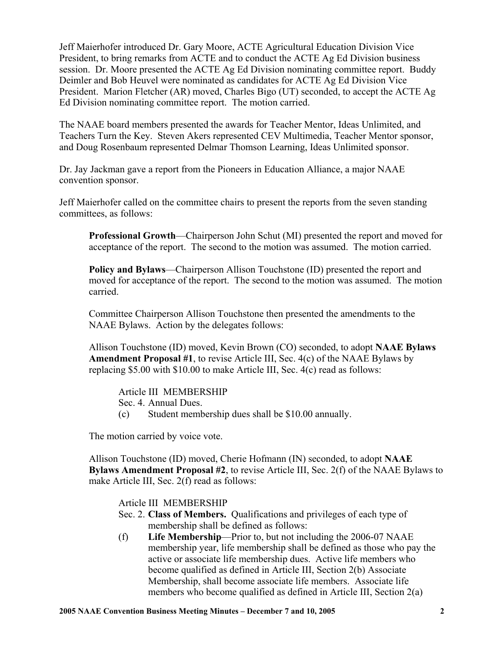Jeff Maierhofer introduced Dr. Gary Moore, ACTE Agricultural Education Division Vice President, to bring remarks from ACTE and to conduct the ACTE Ag Ed Division business session. Dr. Moore presented the ACTE Ag Ed Division nominating committee report. Buddy Deimler and Bob Heuvel were nominated as candidates for ACTE Ag Ed Division Vice President. Marion Fletcher (AR) moved, Charles Bigo (UT) seconded, to accept the ACTE Ag Ed Division nominating committee report. The motion carried.

The NAAE board members presented the awards for Teacher Mentor, Ideas Unlimited, and Teachers Turn the Key. Steven Akers represented CEV Multimedia, Teacher Mentor sponsor, and Doug Rosenbaum represented Delmar Thomson Learning, Ideas Unlimited sponsor.

Dr. Jay Jackman gave a report from the Pioneers in Education Alliance, a major NAAE convention sponsor.

Jeff Maierhofer called on the committee chairs to present the reports from the seven standing committees, as follows:

**Professional Growth**—Chairperson John Schut (MI) presented the report and moved for acceptance of the report. The second to the motion was assumed. The motion carried.

**Policy and Bylaws**—Chairperson Allison Touchstone (ID) presented the report and moved for acceptance of the report. The second to the motion was assumed. The motion carried.

Committee Chairperson Allison Touchstone then presented the amendments to the NAAE Bylaws. Action by the delegates follows:

Allison Touchstone (ID) moved, Kevin Brown (CO) seconded, to adopt **NAAE Bylaws Amendment Proposal #1**, to revise Article III, Sec. 4(c) of the NAAE Bylaws by replacing \$5.00 with \$10.00 to make Article III, Sec. 4(c) read as follows:

#### Article III MEMBERSHIP

Sec. 4. Annual Dues.

(c) Student membership dues shall be \$10.00 annually.

The motion carried by voice vote.

Allison Touchstone (ID) moved, Cherie Hofmann (IN) seconded, to adopt **NAAE Bylaws Amendment Proposal #2**, to revise Article III, Sec. 2(f) of the NAAE Bylaws to make Article III, Sec. 2(f) read as follows:

#### Article III MEMBERSHIP

- Sec. 2. **Class of Members.** Qualifications and privileges of each type of membership shall be defined as follows:
- (f) **Life Membership**—Prior to, but not including the 2006-07 NAAE membership year, life membership shall be defined as those who pay the active or associate life membership dues. Active life members who become qualified as defined in Article III, Section 2(b) Associate Membership, shall become associate life members. Associate life members who become qualified as defined in Article III, Section 2(a)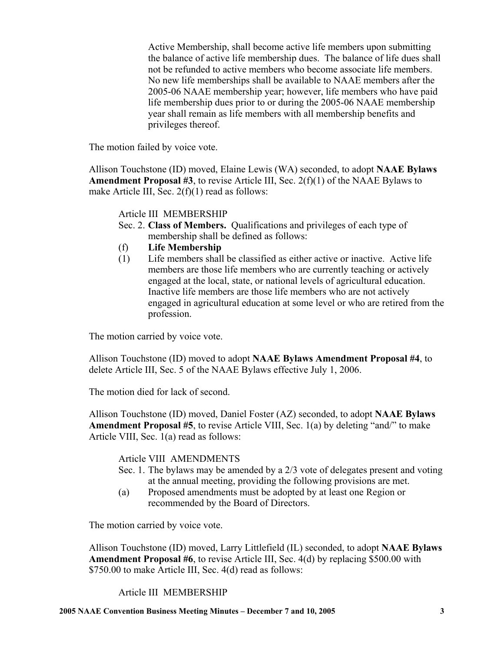Active Membership, shall become active life members upon submitting the balance of active life membership dues. The balance of life dues shall not be refunded to active members who become associate life members. No new life memberships shall be available to NAAE members after the 2005-06 NAAE membership year; however, life members who have paid life membership dues prior to or during the 2005-06 NAAE membership year shall remain as life members with all membership benefits and privileges thereof.

The motion failed by voice vote.

Allison Touchstone (ID) moved, Elaine Lewis (WA) seconded, to adopt **NAAE Bylaws Amendment Proposal #3**, to revise Article III, Sec. 2(f)(1) of the NAAE Bylaws to make Article III, Sec. 2(f)(1) read as follows:

Article III MEMBERSHIP

- Sec. 2. **Class of Members.** Qualifications and privileges of each type of membership shall be defined as follows:
- (f) **Life Membership**
- (1) Life members shall be classified as either active or inactive. Active life members are those life members who are currently teaching or actively engaged at the local, state, or national levels of agricultural education. Inactive life members are those life members who are not actively engaged in agricultural education at some level or who are retired from the profession.

The motion carried by voice vote.

Allison Touchstone (ID) moved to adopt **NAAE Bylaws Amendment Proposal #4**, to delete Article III, Sec. 5 of the NAAE Bylaws effective July 1, 2006.

The motion died for lack of second.

Allison Touchstone (ID) moved, Daniel Foster (AZ) seconded, to adopt **NAAE Bylaws Amendment Proposal #5**, to revise Article VIII, Sec. 1(a) by deleting "and/" to make Article VIII, Sec. 1(a) read as follows:

Article VIII AMENDMENTS

- Sec. 1. The bylaws may be amended by a 2/3 vote of delegates present and voting at the annual meeting, providing the following provisions are met.
- (a) Proposed amendments must be adopted by at least one Region or recommended by the Board of Directors.

The motion carried by voice vote.

Allison Touchstone (ID) moved, Larry Littlefield (IL) seconded, to adopt **NAAE Bylaws Amendment Proposal #6**, to revise Article III, Sec. 4(d) by replacing \$500.00 with \$750.00 to make Article III, Sec. 4(d) read as follows:

Article III MEMBERSHIP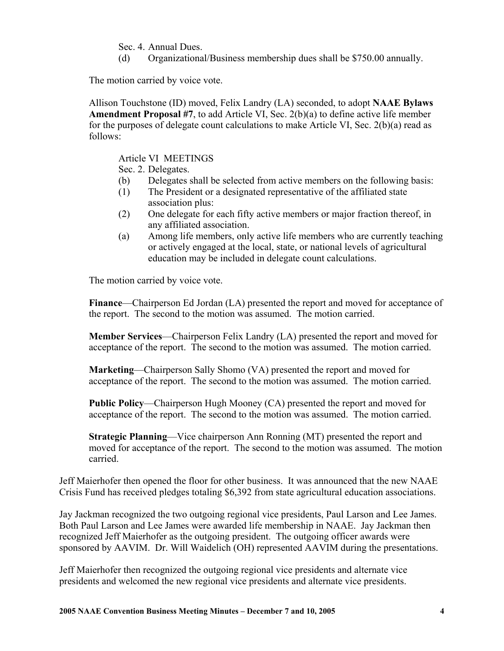Sec. 4. Annual Dues.

(d) Organizational/Business membership dues shall be \$750.00 annually.

The motion carried by voice vote.

Allison Touchstone (ID) moved, Felix Landry (LA) seconded, to adopt **NAAE Bylaws Amendment Proposal #7**, to add Article VI, Sec. 2(b)(a) to define active life member for the purposes of delegate count calculations to make Article VI, Sec.  $2(b)(a)$  read as follows:

Article VI MEETINGS

Sec. 2. Delegates.

- (b) Delegates shall be selected from active members on the following basis:
- (1) The President or a designated representative of the affiliated state association plus:
- (2) One delegate for each fifty active members or major fraction thereof, in any affiliated association.
- (a) Among life members, only active life members who are currently teaching or actively engaged at the local, state, or national levels of agricultural education may be included in delegate count calculations.

The motion carried by voice vote.

**Finance**—Chairperson Ed Jordan (LA) presented the report and moved for acceptance of the report. The second to the motion was assumed. The motion carried.

**Member Services**—Chairperson Felix Landry (LA) presented the report and moved for acceptance of the report. The second to the motion was assumed. The motion carried.

**Marketing**—Chairperson Sally Shomo (VA) presented the report and moved for acceptance of the report. The second to the motion was assumed. The motion carried.

**Public Policy**—Chairperson Hugh Mooney (CA) presented the report and moved for acceptance of the report. The second to the motion was assumed. The motion carried.

**Strategic Planning**—Vice chairperson Ann Ronning (MT) presented the report and moved for acceptance of the report. The second to the motion was assumed. The motion carried.

Jeff Maierhofer then opened the floor for other business. It was announced that the new NAAE Crisis Fund has received pledges totaling \$6,392 from state agricultural education associations.

Jay Jackman recognized the two outgoing regional vice presidents, Paul Larson and Lee James. Both Paul Larson and Lee James were awarded life membership in NAAE. Jay Jackman then recognized Jeff Maierhofer as the outgoing president. The outgoing officer awards were sponsored by AAVIM. Dr. Will Waidelich (OH) represented AAVIM during the presentations.

Jeff Maierhofer then recognized the outgoing regional vice presidents and alternate vice presidents and welcomed the new regional vice presidents and alternate vice presidents.